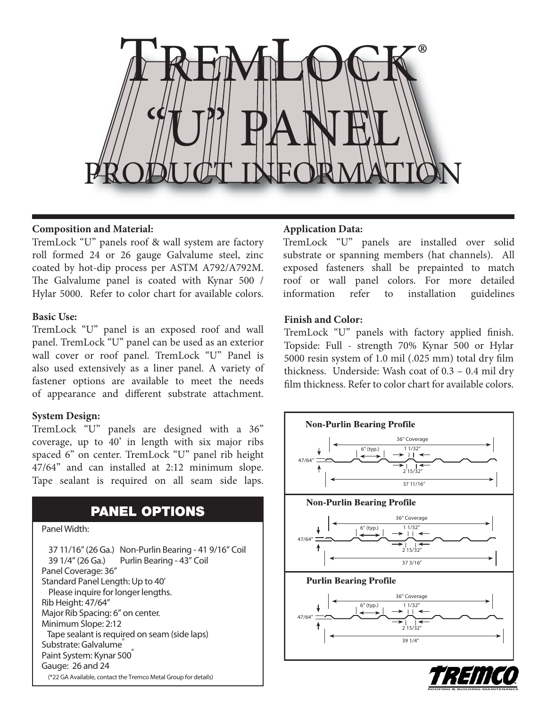

# **Composition and Material:**

TremLock "U" panels roof & wall system are factory roll formed 24 or 26 gauge Galvalume steel, zinc coated by hot-dip process per ASTM A792/A792M. The Galvalume panel is coated with Kynar 500 / Hylar 5000. Refer to color chart for available colors.

#### **Basic Use:**

TremLock "U" panel is an exposed roof and wall panel. TremLock "U" panel can be used as an exterior wall cover or roof panel. TremLock "U" Panel is also used extensively as a liner panel. A variety of fastener options are available to meet the needs of appearance and different substrate attachment.

#### **System Design:**

TremLock "U" panels are designed with a 36" coverage, up to 40' in length with six major ribs spaced 6" on center. TremLock "U" panel rib height 47/64" and can installed at 2:12 minimum slope. Tape sealant is required on all seam side laps.

# **PANEL OPTIONS**

#### **Panel Width:**

**37 11/16" (26 Ga.) Non-Purlin Bearing - 41 9/16" Coil 39 1/4" (26 Ga.) Purlin Bearing - 43" Coil Panel Coverage: 36" Standard Panel Length: Up to 40' Please inquire for longer lengths. Rib Height: 47/64" Major Rib Spacing: 6" on center. Minimum Slope: 2:12 Tape sealant is required on seam (side laps) Substrate: Galvalume® Paint System: Kynar 500® Gauge: 26 and 24 (\*22 GA Available, contact the Tremco Metal Group for details)**

## **Application Data:**

TremLock "U" panels are installed over solid substrate or spanning members (hat channels). All exposed fasteners shall be prepainted to match roof or wall panel colors. For more detailed information refer to installation guidelines

#### **Finish and Color:**

TremLock "U" panels with factory applied finish. Topside: Full - strength 70% Kynar 500 or Hylar 5000 resin system of 1.0 mil (.025 mm) total dry film thickness. Underside: Wash coat of 0.3 – 0.4 mil dry film thickness. Refer to color chart for available colors.



**ROOFING & BUILDING MAINTENANCE**